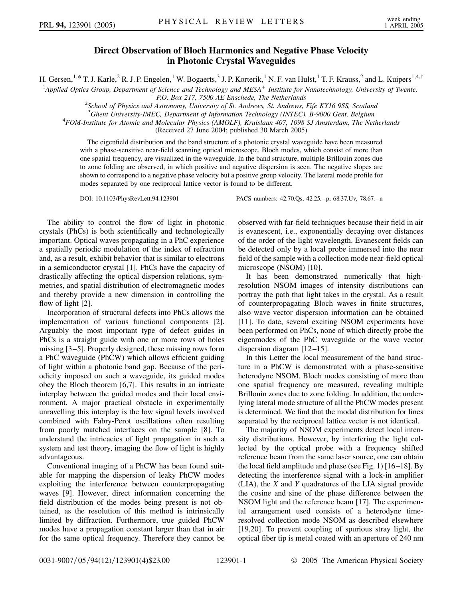## **Direct Observation of Bloch Harmonics and Negative Phase Velocity in Photonic Crystal Waveguides**

H. Gersen,<sup>1,\*</sup> T. J. Karle,<sup>2</sup> R. J. P. Engelen,<sup>1</sup> W. Bogaerts,<sup>3</sup> J. P. Korterik,<sup>1</sup> N. F. van Hulst,<sup>1</sup> T. F. Krauss,<sup>2</sup> and L. Kuipers<sup>1,4,†</sup>

<sup>1</sup>Applied Optics Group, Department of Science and Technology and MESA<sup>+</sup> Institute for Nanotechnology, University of Twente,

*P.O. Box 217, 7500 AE Enschede, The Netherlands*<br><sup>2</sup> School of Physics and Astronomy, University of St. Andrews, St. Andrews, Fife KY16 9SS, Scotland<sup>2</sup>

<sup>3</sup> Ghent University-IMEC, Department of Information Technology (INTEC), B-9000 Gent, Belgium<br><sup>4</sup> EOM Institute for Atomic and Molecular Physics (AMOLE), Kruislaan 407, 1098 SJ Amsterdam. The Net

*FOM-Institute for Atomic and Molecular Physics (AMOLF), Kruislaan 407, 1098 SJ Amsterdam, The Netherlands*

(Received 27 June 2004; published 30 March 2005)

The eigenfield distribution and the band structure of a photonic crystal waveguide have been measured with a phase-sensitive near-field scanning optical microscope. Bloch modes, which consist of more than one spatial frequency, are visualized in the waveguide. In the band structure, multiple Brillouin zones due to zone folding are observed, in which positive and negative dispersion is seen. The negative slopes are shown to correspond to a negative phase velocity but a positive group velocity. The lateral mode profile for modes separated by one reciprocal lattice vector is found to be different.

DOI: 10.1103/PhysRevLett.94.123901 PACS numbers: 42.70.Qs, 42.25.–p, 68.37.Uv, 78.67.–n

The ability to control the flow of light in photonic crystals (PhCs) is both scientifically and technologically important. Optical waves propagating in a PhC experience a spatially periodic modulation of the index of refraction and, as a result, exhibit behavior that is similar to electrons in a semiconductor crystal [1]. PhCs have the capacity of drastically affecting the optical dispersion relations, symmetries, and spatial distribution of electromagnetic modes and thereby provide a new dimension in controlling the flow of light [2].

Incorporation of structural defects into PhCs allows the implementation of various functional components [2]. Arguably the most important type of defect guides in PhCs is a straight guide with one or more rows of holes missing [3–5]. Properly designed, these missing rows form a PhC waveguide (PhCW) which allows efficient guiding of light within a photonic band gap. Because of the periodicity imposed on such a waveguide, its guided modes obey the Bloch theorem [6,7]. This results in an intricate interplay between the guided modes and their local environment. A major practical obstacle in experimentally unravelling this interplay is the low signal levels involved combined with Fabry-Perot oscillations often resulting from poorly matched interfaces on the sample [8]. To understand the intricacies of light propagation in such a system and test theory, imaging the flow of light is highly advantageous.

Conventional imaging of a PhCW has been found suitable for mapping the dispersion of leaky PhCW modes exploiting the interference between counterpropagating waves [9]. However, direct information concerning the field distribution of the modes being present is not obtained, as the resolution of this method is intrinsically limited by diffraction. Furthermore, true guided PhCW modes have a propagation constant larger than that in air for the same optical frequency. Therefore they cannot be observed with far-field techniques because their field in air is evanescent, i.e., exponentially decaying over distances of the order of the light wavelength. Evanescent fields can be detected only by a local probe immersed into the near field of the sample with a collection mode near-field optical microscope (NSOM) [10].

It has been demonstrated numerically that highresolution NSOM images of intensity distributions can portray the path that light takes in the crystal. As a result of counterpropagating Bloch waves in finite structures, also wave vector dispersion information can be obtained [11]. To date, several exciting NSOM experiments have been performed on PhCs, none of which directly probe the eigenmodes of the PhC waveguide or the wave vector dispersion diagram [12–15].

In this Letter the local measurement of the band structure in a PhCW is demonstrated with a phase-sensitive heterodyne NSOM. Bloch modes consisting of more than one spatial frequency are measured, revealing multiple Brillouin zones due to zone folding. In addition, the underlying lateral mode structure of all the PhCW modes present is determined. We find that the modal distribution for lines separated by the reciprocal lattice vector is not identical.

The majority of NSOM experiments detect local intensity distributions. However, by interfering the light collected by the optical probe with a frequency shifted reference beam from the same laser source, one can obtain the local field amplitude and phase (see Fig. 1) [16–18]. By detecting the interference signal with a lock-in amplifier (LIA), the *X* and *Y* quadratures of the LIA signal provide the cosine and sine of the phase difference between the NSOM light and the reference beam [17]. The experimental arrangement used consists of a heterodyne timeresolved collection mode NSOM as described elsewhere [19,20]. To prevent coupling of spurious stray light, the optical fiber tip is metal coated with an aperture of 240 nm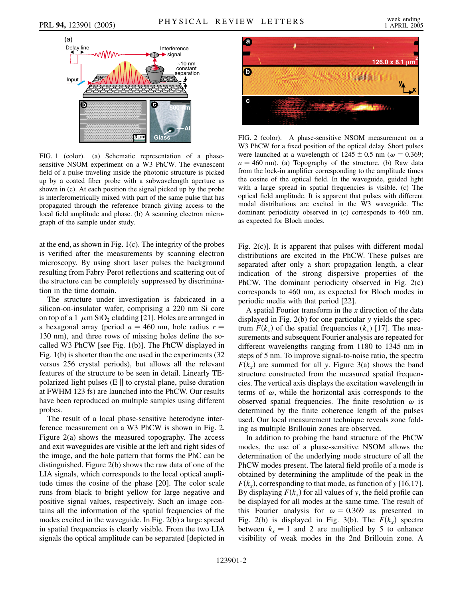

FIG. 1 (color). (a) Schematic representation of a phasesensitive NSOM experiment on a W3 PhCW. The evanescent field of a pulse traveling inside the photonic structure is picked up by a coated fiber probe with a subwavelength aperture as shown in (c). At each position the signal picked up by the probe is interferometrically mixed with part of the same pulse that has propagated through the reference branch giving access to the local field amplitude and phase. (b) A scanning electron micrograph of the sample under study.

at the end, as shown in Fig. 1(c). The integrity of the probes is verified after the measurements by scanning electron microscopy. By using short laser pulses the background resulting from Fabry-Perot reflections and scattering out of the structure can be completely suppressed by discrimination in the time domain.

The structure under investigation is fabricated in a silicon-on-insulator wafer, comprising a 220 nm Si core on top of a 1  $\mu$ m SiO<sub>2</sub> cladding [21]. Holes are arranged in a hexagonal array (period  $a = 460$  nm, hole radius  $r =$ 130 nm), and three rows of missing holes define the socalled W3 PhCW [see Fig. 1(b)]. The PhCW displayed in Fig. 1(b) is shorter than the one used in the experiments (32 versus 256 crystal periods), but allows all the relevant features of the structure to be seen in detail. Linearly TEpolarized light pulses  $(E \parallel t)$  to crystal plane, pulse duration at FWHM 123 fs) are launched into the PhCW. Our results have been reproduced on multiple samples using different probes.

The result of a local phase-sensitive heterodyne interference measurement on a W3 PhCW is shown in Fig. 2. Figure 2(a) shows the measured topography. The access and exit waveguides are visible at the left and right sides of the image, and the hole pattern that forms the PhC can be distinguished. Figure 2(b) shows the raw data of one of the LIA signals, which corresponds to the local optical amplitude times the cosine of the phase [20]. The color scale runs from black to bright yellow for large negative and positive signal values, respectively. Such an image contains all the information of the spatial frequencies of the modes excited in the waveguide. In Fig. 2(b) a large spread in spatial frequencies is clearly visible. From the two LIA signals the optical amplitude can be separated [depicted in



FIG. 2 (color). A phase-sensitive NSOM measurement on a W3 PhCW for a fixed position of the optical delay. Short pulses were launched at a wavelength of  $1245 \pm 0.5$  nm ( $\omega = 0.369$ ;  $a = 460$  nm). (a) Topography of the structure. (b) Raw data from the lock-in amplifier corresponding to the amplitude times the cosine of the optical field. In the waveguide, guided light with a large spread in spatial frequencies is visible. (c) The optical field amplitude. It is apparent that pulses with different modal distributions are excited in the W3 waveguide. The dominant periodicity observed in (c) corresponds to 460 nm, as expected for Bloch modes.

Fig. 2(c)]. It is apparent that pulses with different modal distributions are excited in the PhCW. These pulses are separated after only a short propagation length, a clear indication of the strong dispersive properties of the PhCW. The dominant periodicity observed in Fig. 2(c) corresponds to 460 nm, as expected for Bloch modes in periodic media with that period [22].

A spatial Fourier transform in the *x* direction of the data displayed in Fig. 2(b) for one particular *y* yields the spectrum  $F(k_x)$  of the spatial frequencies  $(k_x)$  [17]. The measurements and subsequent Fourier analysis are repeated for different wavelengths ranging from 1180 to 1345 nm in steps of 5 nm. To improve signal-to-noise ratio, the spectra  $F(k_x)$  are summed for all *y*. Figure 3(a) shows the band structure constructed from the measured spatial frequencies. The vertical axis displays the excitation wavelength in terms of  $\omega$ , while the horizontal axis corresponds to the observed spatial frequencies. The finite resolution  $\omega$  is determined by the finite coherence length of the pulses used. Our local measurement technique reveals zone folding as multiple Brillouin zones are observed.

In addition to probing the band structure of the PhCW modes, the use of a phase-sensitive NSOM allows the determination of the underlying mode structure of all the PhCW modes present. The lateral field profile of a mode is obtained by determining the amplitude of the peak in the  $F(k_x)$ , corresponding to that mode, as function of *y* [16,17]. By displaying  $F(k_x)$  for all values of y, the field profile can be displayed for all modes at the same time. The result of this Fourier analysis for  $\omega = 0.369$  as presented in Fig. 2(b) is displayed in Fig. 3(b). The  $F(k_x)$  spectra between  $k_x = 1$  and 2 are multiplied by 5 to enhance visibility of weak modes in the 2nd Brillouin zone. A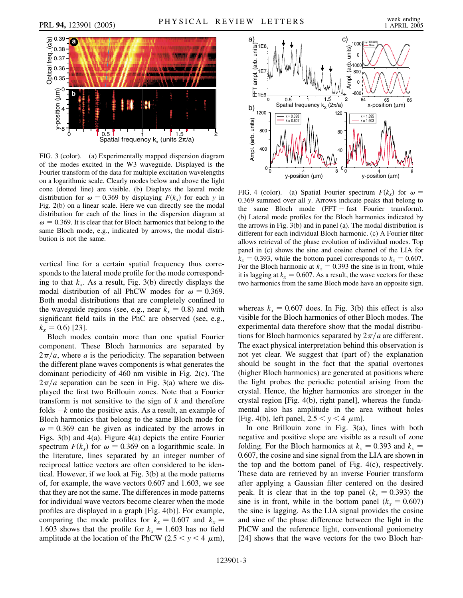

FIG. 3 (color). (a) Experimentally mapped dispersion diagram of the modes excited in the W3 waveguide. Displayed is the Fourier transform of the data for multiple excitation wavelengths on a logarithmic scale. Clearly modes below and above the light cone (dotted line) are visible. (b) Displays the lateral mode distribution for  $\omega = 0.369$  by displaying  $F(k_x)$  for each *y* in Fig. 2(b) on a linear scale. Here we can directly see the modal distribution for each of the lines in the dispersion diagram at  $\omega$  = 0.369. It is clear that for Bloch harmonics that belong to the same Bloch mode, e.g., indicated by arrows, the modal distribution is not the same.

vertical line for a certain spatial frequency thus corresponds to the lateral mode profile for the mode corresponding to that  $k_x$ . As a result, Fig. 3(b) directly displays the modal distribution of all PhCW modes for  $\omega = 0.369$ . Both modal distributions that are completely confined to the waveguide regions (see, e.g., near  $k_x = 0.8$ ) and with significant field tails in the PhC are observed (see, e.g.,  $k_x = 0.6$  [23].

Bloch modes contain more than one spatial Fourier component. These Bloch harmonics are separated by  $2\pi/a$ , where *a* is the periodicity. The separation between the different plane waves components is what generates the dominant periodicity of 460 nm visible in Fig. 2(c). The  $2\pi/a$  separation can be seen in Fig. 3(a) where we displayed the first two Brillouin zones. Note that a Fourier transform is not sensitive to the sign of *k* and therefore folds  $-k$  onto the positive axis. As a result, an example of Bloch harmonics that belong to the same Bloch mode for  $\omega = 0.369$  can be given as indicated by the arrows in Figs. 3(b) and 4(a). Figure 4(a) depicts the entire Fourier spectrum  $F(k_x)$  for  $\omega = 0.369$  on a logarithmic scale. In the literature, lines separated by an integer number of reciprocal lattice vectors are often considered to be identical. However, if we look at Fig. 3(b) at the mode patterns of, for example, the wave vectors 0.607 and 1.603, we see that they are not the same. The differences in mode patterns for individual wave vectors become clearer when the mode profiles are displayed in a graph [Fig. 4(b)]. For example, comparing the mode profiles for  $k_x = 0.607$  and  $k_x =$ 1.603 shows that the profile for  $k_x = 1.603$  has no field amplitude at the location of the PhCW (2.5  $\lt y \lt 4 \mu m$ ),



FIG. 4 (color). (a) Spatial Fourier spectrum  $F(k_x)$  for  $\omega =$ 0*:*369 summed over all *y*. Arrows indicate peaks that belong to the same Bloch mode  $(FFT = fast \ Fourier$  transform). (b) Lateral mode profiles for the Bloch harmonics indicated by the arrows in Fig. 3(b) and in panel (a). The modal distribution is different for each individual Bloch harmonic. (c) A Fourier filter allows retrieval of the phase evolution of individual modes. Top panel in (c) shows the sine and cosine channel of the LIA for  $k_x = 0.393$ , while the bottom panel corresponds to  $k_x = 0.607$ . For the Bloch harmonic at  $k_x = 0.393$  the sine is in front, while it is lagging at  $k_x = 0.607$ . As a result, the wave vectors for these two harmonics from the same Bloch mode have an opposite sign.

whereas  $k_x = 0.607$  does. In Fig. 3(b) this effect is also visible for the Bloch harmonics of other Bloch modes. The experimental data therefore show that the modal distributions for Bloch harmonics separated by  $2\pi/a$  are different. The exact physical interpretation behind this observation is not yet clear. We suggest that (part of) the explanation should be sought in the fact that the spatial overtones (higher Bloch harmonics) are generated at positions where the light probes the periodic potential arising from the crystal. Hence, the higher harmonics are stronger in the crystal region [Fig. 4(b), right panel], whereas the fundamental also has amplitude in the area without holes [Fig. 4(b), left panel,  $2.5 < y < 4 \mu$ m].

In one Brillouin zone in Fig. 3(a), lines with both negative and positive slope are visible as a result of zone folding. For the Bloch harmonics at  $k_x = 0.393$  and  $k_x =$ 0*:*607, the cosine and sine signal from the LIA are shown in the top and the bottom panel of Fig. 4(c), respectively. These data are retrieved by an inverse Fourier transform after applying a Gaussian filter centered on the desired peak. It is clear that in the top panel  $(k_x = 0.393)$  the sine is in front, while in the bottom panel  $(k_x = 0.607)$ the sine is lagging. As the LIA signal provides the cosine and sine of the phase difference between the light in the PhCW and the reference light, conventional goniometry [24] shows that the wave vectors for the two Bloch har